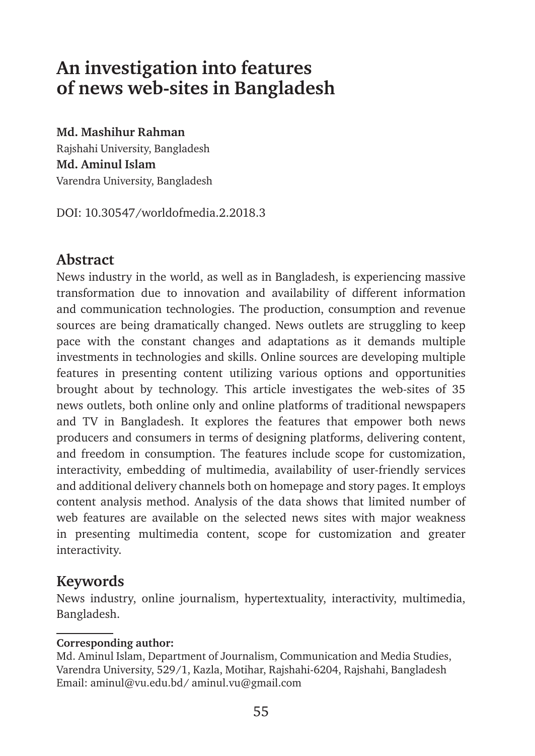# **An investigation into features of news web-sites in Bangladesh**

**Md. Mashihur Rahman**

Rajshahi University, Bangladesh **Md. Aminul Islam1** Varendra University, Bangladesh

DOI: 10.30547/worldofmedia.2.2018.3

# **Abstract**

News industry in the world, as well as in Bangladesh, is experiencing massive transformation due to innovation and availability of different information and communication technologies. The production, consumption and revenue sources are being dramatically changed. News outlets are struggling to keep pace with the constant changes and adaptations as it demands multiple investments in technologies and skills. Online sources are developing multiple features in presenting content utilizing various options and opportunities brought about by technology. This article investigates the web-sites of 35 news outlets, both online only and online platforms of traditional newspapers and TV in Bangladesh. It explores the features that empower both news producers and consumers in terms of designing platforms, delivering content, and freedom in consumption. The features include scope for customization, interactivity, embedding of multimedia, availability of user-friendly services and additional delivery channels both on homepage and story pages. It employs content analysis method. Analysis of the data shows that limited number of web features are available on the selected news sites with major weakness in presenting multimedia content, scope for customization and greater interactivity.

# **Keywords**

News industry, online journalism, hypertextuality, interactivity, multimedia, Bangladesh.

### **Corresponding author:**

Md. Aminul Islam, Department of Journalism, Communication and Media Studies, Varendra University, 529/1, Kazla, Motihar, Rajshahi-6204, Rajshahi, Bangladesh Email: aminul@vu.edu.bd/ aminul.vu@gmail.com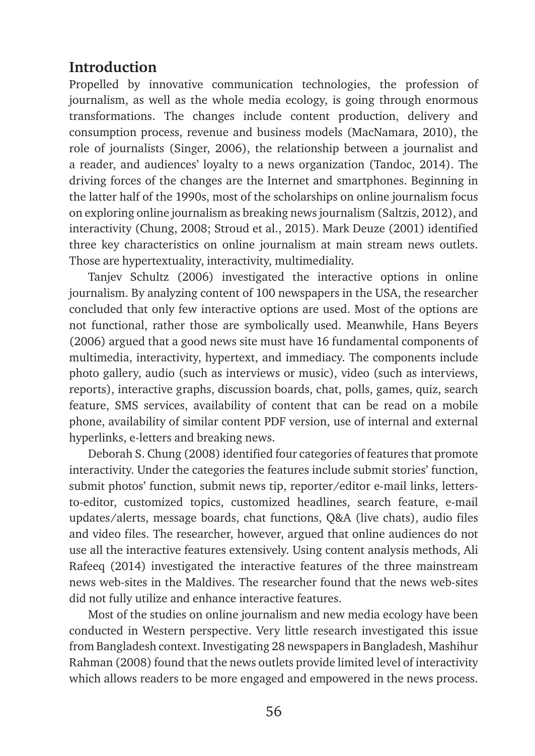# **Introduction**

Propelled by innovative communication technologies, the profession of journalism, as well as the whole media ecology, is going through enormous transformations. The changes include content production, delivery and consumption process, revenue and business models (MacNamara, 2010), the role of journalists (Singer, 2006), the relationship between a journalist and a reader, and audiences' loyalty to a news organization (Tandoc, 2014). The driving forces of the changes are the Internet and smartphones. Beginning in the latter half of the 1990s, most of the scholarships on online journalism focus on exploring online journalism as breaking news journalism (Saltzis, 2012), and interactivity (Chung, 2008; Stroud et al., 2015). Mark Deuze (2001) identified three key characteristics on online journalism at main stream news outlets. Those are hypertextuality, interactivity, multimediality.

Tanjev Schultz (2006) investigated the interactive options in online journalism. By analyzing content of 100 newspapers in the USA, the researcher concluded that only few interactive options are used. Most of the options are not functional, rather those are symbolically used. Meanwhile, Hans Beyers (2006) argued that a good news site must have 16 fundamental components of multimedia, interactivity, hypertext, and immediacy. The components include photo gallery, audio (such as interviews or music), video (such as interviews, reports), interactive graphs, discussion boards, chat, polls, games, quiz, search feature, SMS services, availability of content that can be read on a mobile phone, availability of similar content PDF version, use of internal and external hyperlinks, e-letters and breaking news.

Deborah S. Chung (2008) identified four categories of features that promote interactivity. Under the categories the features include submit stories' function, submit photos' function, submit news tip, reporter/editor e-mail links, lettersto-editor, customized topics, customized headlines, search feature, e-mail updates/alerts, message boards, chat functions, Q&A (live chats), audio files and video files. The researcher, however, argued that online audiences do not use all the interactive features extensively. Using content analysis methods, Ali Rafeeq (2014) investigated the interactive features of the three mainstream news web-sites in the Maldives. The researcher found that the news web-sites did not fully utilize and enhance interactive features.

Most of the studies on online journalism and new media ecology have been conducted in Western perspective. Very little research investigated this issue from Bangladesh context. Investigating 28 newspapers in Bangladesh, Mashihur Rahman (2008) found that the news outlets provide limited level of interactivity which allows readers to be more engaged and empowered in the news process.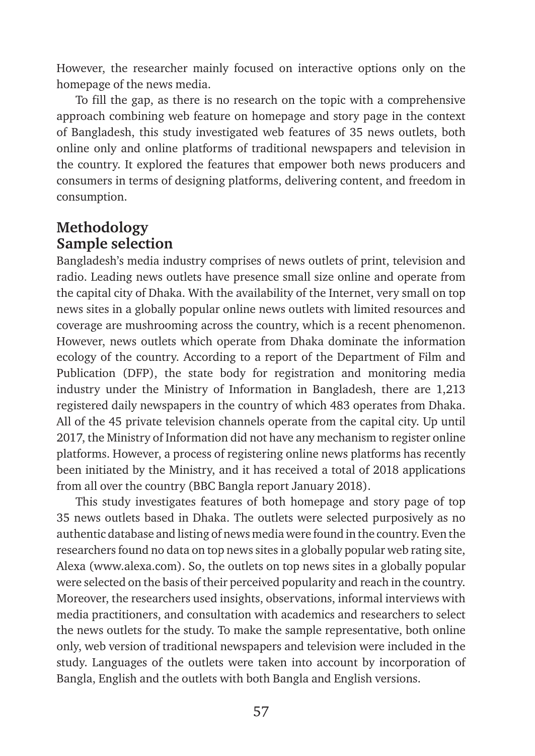However, the researcher mainly focused on interactive options only on the homepage of the news media.

To fill the gap, as there is no research on the topic with a comprehensive approach combining web feature on homepage and story page in the context of Bangladesh, this study investigated web features of 35 news outlets, both online only and online platforms of traditional newspapers and television in the country. It explored the features that empower both news producers and consumers in terms of designing platforms, delivering content, and freedom in consumption.

### **Methodology Sample selection**

Bangladesh's media industry comprises of news outlets of print, television and radio. Leading news outlets have presence small size online and operate from the capital city of Dhaka. With the availability of the Internet, very small on top news sites in a globally popular online news outlets with limited resources and coverage are mushrooming across the country, which is a recent phenomenon. However, news outlets which operate from Dhaka dominate the information ecology of the country. According to a report of the Department of Film and Publication (DFP), the state body for registration and monitoring media industry under the Ministry of Information in Bangladesh, there are 1,213 registered daily newspapers in the country of which 483 operates from Dhaka. All of the 45 private television channels operate from the capital city. Up until 2017, the Ministry of Information did not have any mechanism to register online platforms. However, a process of registering online news platforms has recently been initiated by the Ministry, and it has received a total of 2018 applications from all over the country (BBC Bangla report January 2018).

This study investigates features of both homepage and story page of top 35 news outlets based in Dhaka. The outlets were selected purposively as no authentic database and listing of news media were found in the country. Even the researchers found no data on top news sites in a globally popular web rating site, Alexa (www.alexa.com). So, the outlets on top news sites in a globally popular were selected on the basis of their perceived popularity and reach in the country. Moreover, the researchers used insights, observations, informal interviews with media practitioners, and consultation with academics and researchers to select the news outlets for the study. To make the sample representative, both online only, web version of traditional newspapers and television were included in the study. Languages of the outlets were taken into account by incorporation of Bangla, English and the outlets with both Bangla and English versions.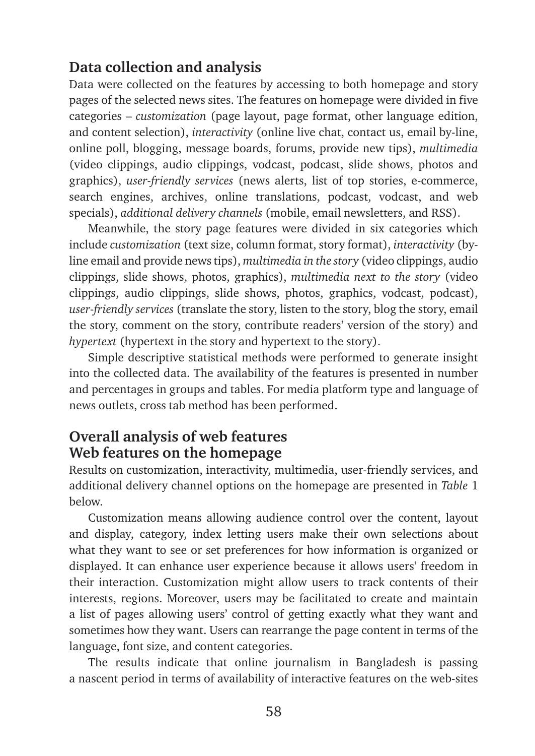# **Data collection and analysis**

Data were collected on the features by accessing to both homepage and story pages of the selected news sites. The features on homepage were divided in five categories – *customization* (page layout, page format, other language edition, and content selection), *interactivity* (online live chat, contact us, email by-line, online poll, blogging, message boards, forums, provide new tips), *multimedia*  (video clippings, audio clippings, vodcast, podcast, slide shows, photos and graphics), *user-friendly services* (news alerts, list of top stories, e-commerce, search engines, archives, online translations, podcast, vodcast, and web specials), *additional delivery channels* (mobile, email newsletters, and RSS).

Meanwhile, the story page features were divided in six categories which include *customization* (text size, column format, story format), *interactivity* (byline email and provide news tips), *multimedia in the story* (video clippings, audio clippings, slide shows, photos, graphics), *multimedia next to the story* (video clippings, audio clippings, slide shows, photos, graphics, vodcast, podcast), *user-friendly services* (translate the story, listen to the story, blog the story, email the story, comment on the story, contribute readers' version of the story) and *hypertext* (hypertext in the story and hypertext to the story).

Simple descriptive statistical methods were performed to generate insight into the collected data. The availability of the features is presented in number and percentages in groups and tables. For media platform type and language of news outlets, cross tab method has been performed.

# **Overall analysis of web features Web features on the homepage**

Results on customization, interactivity, multimedia, user-friendly services, and additional delivery channel options on the homepage are presented in *Table* 1 below.

Customization means allowing audience control over the content, layout and display, category, index letting users make their own selections about what they want to see or set preferences for how information is organized or displayed. It can enhance user experience because it allows users' freedom in their interaction. Customization might allow users to track contents of their interests, regions. Moreover, users may be facilitated to create and maintain a list of pages allowing users' control of getting exactly what they want and sometimes how they want. Users can rearrange the page content in terms of the language, font size, and content categories.

The results indicate that online journalism in Bangladesh is passing a nascent period in terms of availability of interactive features on the web-sites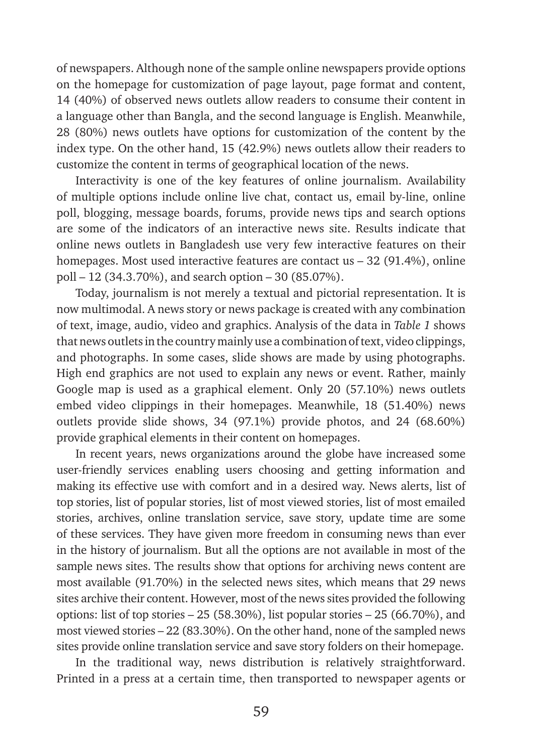of newspapers. Although none of the sample online newspapers provide options on the homepage for customization of page layout, page format and content, 14 (40%) of observed news outlets allow readers to consume their content in a language other than Bangla, and the second language is English. Meanwhile, 28 (80%) news outlets have options for customization of the content by the index type. On the other hand, 15 (42.9%) news outlets allow their readers to customize the content in terms of geographical location of the news.

Interactivity is one of the key features of online journalism. Availability of multiple options include online live chat, contact us, email by-line, online poll, blogging, message boards, forums, provide news tips and search options are some of the indicators of an interactive news site. Results indicate that online news outlets in Bangladesh use very few interactive features on their homepages. Most used interactive features are contact us – 32 (91.4%), online poll – 12 (34.3.70%), and search option – 30 (85.07%).

Today, journalism is not merely a textual and pictorial representation. It is now multimodal. A news story or news package is created with any combination of text, image, audio, video and graphics. Analysis of the data in *Table 1* shows that news outlets in the country mainly use a combination of text, video clippings, and photographs. In some cases, slide shows are made by using photographs. High end graphics are not used to explain any news or event. Rather, mainly Google map is used as a graphical element. Only 20 (57.10%) news outlets embed video clippings in their homepages. Meanwhile, 18 (51.40%) news outlets provide slide shows, 34 (97.1%) provide photos, and 24 (68.60%) provide graphical elements in their content on homepages.

In recent years, news organizations around the globe have increased some user-friendly services enabling users choosing and getting information and making its effective use with comfort and in a desired way. News alerts, list of top stories, list of popular stories, list of most viewed stories, list of most emailed stories, archives, online translation service, save story, update time are some of these services. They have given more freedom in consuming news than ever in the history of journalism. But all the options are not available in most of the sample news sites. The results show that options for archiving news content are most available (91.70%) in the selected news sites, which means that 29 news sites archive their content. However, most of the news sites provided the following options: list of top stories – 25 (58.30%), list popular stories – 25 (66.70%), and most viewed stories – 22 (83.30%). On the other hand, none of the sampled news sites provide online translation service and save story folders on their homepage.

In the traditional way, news distribution is relatively straightforward. Printed in a press at a certain time, then transported to newspaper agents or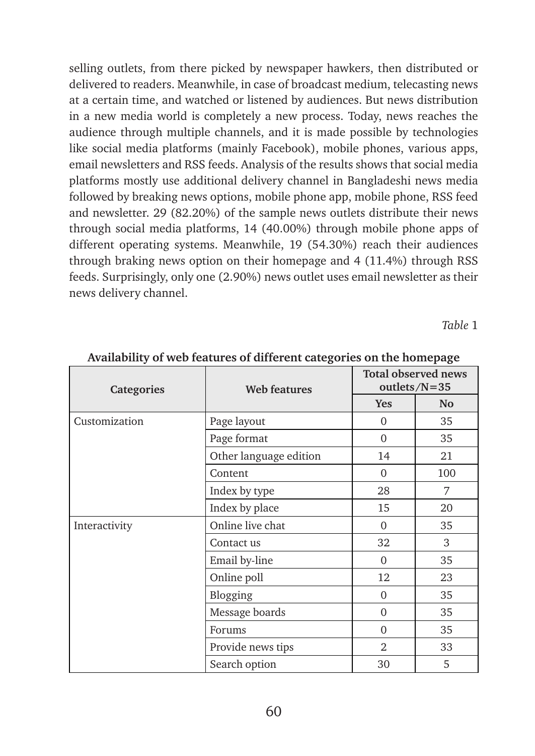selling outlets, from there picked by newspaper hawkers, then distributed or delivered to readers. Meanwhile, in case of broadcast medium, telecasting news at a certain time, and watched or listened by audiences. But news distribution in a new media world is completely a new process. Today, news reaches the audience through multiple channels, and it is made possible by technologies like social media platforms (mainly Facebook), mobile phones, various apps, email newsletters and RSS feeds. Analysis of the results shows that social media platforms mostly use additional delivery channel in Bangladeshi news media followed by breaking news options, mobile phone app, mobile phone, RSS feed and newsletter. 29 (82.20%) of the sample news outlets distribute their news through social media platforms, 14 (40.00%) through mobile phone apps of different operating systems. Meanwhile, 19 (54.30%) reach their audiences through braking news option on their homepage and 4 (11.4%) through RSS feeds. Surprisingly, only one (2.90%) news outlet uses email newsletter as their news delivery channel.

*Table* 1

| <b>Categories</b> | <b>Web features</b>    | <b>Total observed news</b><br>outlets/N=35 |                |  |
|-------------------|------------------------|--------------------------------------------|----------------|--|
|                   |                        | Yes                                        | N <sub>o</sub> |  |
| Customization     | Page layout            | $\overline{0}$                             | 35             |  |
|                   | Page format            | $\Omega$                                   | 35             |  |
|                   | Other language edition | 14                                         | 21             |  |
|                   | Content                | $\Omega$                                   | 100            |  |
|                   | Index by type          | 28                                         | 7              |  |
|                   | Index by place         | 15                                         | 20             |  |
| Interactivity     | Online live chat       | $\Omega$                                   | 35             |  |
|                   | Contact us             | 32                                         | 3              |  |
|                   | Email by-line          | $\Omega$                                   | 35             |  |
|                   | Online poll            | 12                                         | 23             |  |
|                   | Blogging               | $\Omega$                                   | 35             |  |
|                   | Message boards         | $\Omega$                                   | 35             |  |
|                   | Forums                 | $\Omega$                                   | 35             |  |
|                   | Provide news tips      | $\overline{2}$                             | 33             |  |
|                   | Search option          | 30                                         | 5              |  |

**Availability of web features of different categories on the homepage**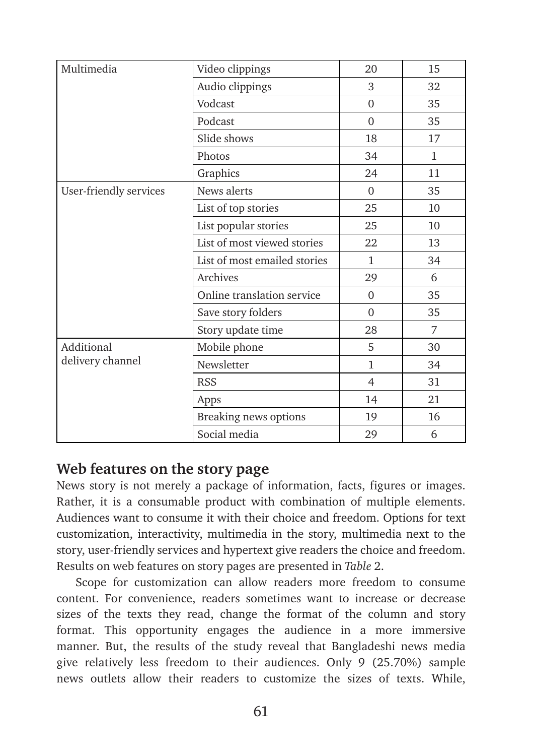| Multimedia             | Video clippings              | 20             | 15           |
|------------------------|------------------------------|----------------|--------------|
|                        | Audio clippings              | 3              | 32           |
|                        |                              |                |              |
|                        | Vodcast                      | $\Omega$       | 35           |
|                        | Podcast                      | $\Omega$       | 35           |
|                        | Slide shows                  | 18             | 17           |
|                        | Photos                       | 34             | $\mathbf{1}$ |
|                        | Graphics                     | 24             | 11           |
| User-friendly services | News alerts                  | $\Omega$       | 35           |
|                        | List of top stories          | 25             | 10           |
|                        | List popular stories         | 25             | 10           |
|                        | List of most viewed stories  | 22             | 13           |
|                        | List of most emailed stories | $\mathbf{1}$   | 34           |
|                        | Archives                     | 29             | 6            |
|                        | Online translation service   | $\Omega$       | 35           |
|                        | Save story folders           | $\Omega$       | 35           |
|                        | Story update time            | 28             | 7            |
| Additional             | Mobile phone                 | 5              | 30           |
| delivery channel       | Newsletter                   | $\mathbf{1}$   | 34           |
|                        | <b>RSS</b>                   | $\overline{4}$ | 31           |
|                        | Apps                         | 14             | 21           |
|                        | Breaking news options        | 19             | 16           |
|                        | Social media                 | 29             | 6            |

### **Web features on the story page**

News story is not merely a package of information, facts, figures or images. Rather, it is a consumable product with combination of multiple elements. Audiences want to consume it with their choice and freedom. Options for text customization, interactivity, multimedia in the story, multimedia next to the story, user-friendly services and hypertext give readers the choice and freedom. Results on web features on story pages are presented in *Table* 2.

Scope for customization can allow readers more freedom to consume content. For convenience, readers sometimes want to increase or decrease sizes of the texts they read, change the format of the column and story format. This opportunity engages the audience in a more immersive manner. But, the results of the study reveal that Bangladeshi news media give relatively less freedom to their audiences. Only 9 (25.70%) sample news outlets allow their readers to customize the sizes of texts. While,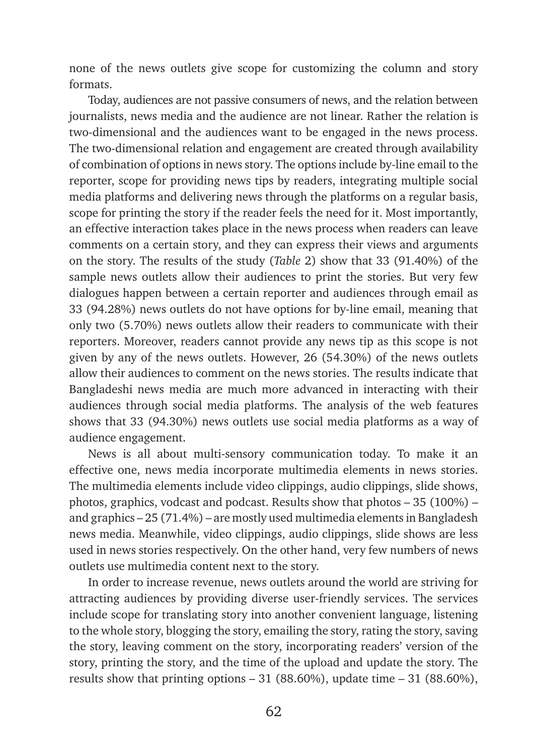none of the news outlets give scope for customizing the column and story formats.

Today, audiences are not passive consumers of news, and the relation between journalists, news media and the audience are not linear. Rather the relation is two-dimensional and the audiences want to be engaged in the news process. The two-dimensional relation and engagement are created through availability of combination of options in news story. The options include by-line email to the reporter, scope for providing news tips by readers, integrating multiple social media platforms and delivering news through the platforms on a regular basis, scope for printing the story if the reader feels the need for it. Most importantly, an effective interaction takes place in the news process when readers can leave comments on a certain story, and they can express their views and arguments on the story. The results of the study (*Table* 2) show that 33 (91.40%) of the sample news outlets allow their audiences to print the stories. But very few dialogues happen between a certain reporter and audiences through email as 33 (94.28%) news outlets do not have options for by-line email, meaning that only two (5.70%) news outlets allow their readers to communicate with their reporters. Moreover, readers cannot provide any news tip as this scope is not given by any of the news outlets. However, 26 (54.30%) of the news outlets allow their audiences to comment on the news stories. The results indicate that Bangladeshi news media are much more advanced in interacting with their audiences through social media platforms. The analysis of the web features shows that 33 (94.30%) news outlets use social media platforms as a way of audience engagement.

News is all about multi-sensory communication today. To make it an effective one, news media incorporate multimedia elements in news stories. The multimedia elements include video clippings, audio clippings, slide shows, photos, graphics, vodcast and podcast. Results show that photos – 35 (100%) – and graphics – 25 (71.4%) – are mostly used multimedia elements in Bangladesh news media. Meanwhile, video clippings, audio clippings, slide shows are less used in news stories respectively. On the other hand, very few numbers of news outlets use multimedia content next to the story.

In order to increase revenue, news outlets around the world are striving for attracting audiences by providing diverse user-friendly services. The services include scope for translating story into another convenient language, listening to the whole story, blogging the story, emailing the story, rating the story, saving the story, leaving comment on the story, incorporating readers' version of the story, printing the story, and the time of the upload and update the story. The results show that printing options – 31 (88.60%), update time – 31 (88.60%),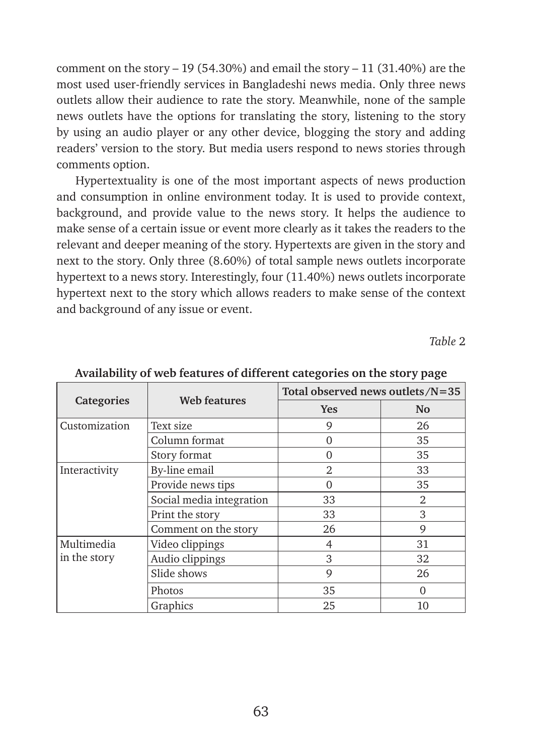comment on the story – 19 (54.30%) and email the story – 11 (31.40%) are the most used user-friendly services in Bangladeshi news media. Only three news outlets allow their audience to rate the story. Meanwhile, none of the sample news outlets have the options for translating the story, listening to the story by using an audio player or any other device, blogging the story and adding readers' version to the story. But media users respond to news stories through comments option.

Hypertextuality is one of the most important aspects of news production and consumption in online environment today. It is used to provide context, background, and provide value to the news story. It helps the audience to make sense of a certain issue or event more clearly as it takes the readers to the relevant and deeper meaning of the story. Hypertexts are given in the story and next to the story. Only three (8.60%) of total sample news outlets incorporate hypertext to a news story. Interestingly, four (11.40%) news outlets incorporate hypertext next to the story which allows readers to make sense of the context and background of any issue or event.

*Table* 2

|                   |                          | Total observed news outlets/ $N=35$ |                |
|-------------------|--------------------------|-------------------------------------|----------------|
| <b>Categories</b> | Web features             | <b>Yes</b>                          | N <sub>o</sub> |
| Customization     | Text size                | 9                                   | 26             |
|                   | Column format            | $\Omega$                            | 35             |
|                   | Story format             | ∩                                   | 35             |
| Interactivity     | By-line email            | $\mathfrak{D}$                      | 33             |
|                   | Provide news tips        | ∩                                   | 35             |
|                   | Social media integration | 33                                  | $\mathfrak{D}$ |
|                   | Print the story          | 33                                  | 3              |
|                   | Comment on the story     | 26                                  | 9              |
| Multimedia        | Video clippings          | 4                                   | 31             |
| in the story      | Audio clippings          | 3                                   | 32             |
|                   | Slide shows              | 9                                   | 26             |
|                   | Photos                   | 35                                  | ∩              |
|                   | Graphics                 | 25                                  | 10             |

**Availability of web features of different categories on the story page**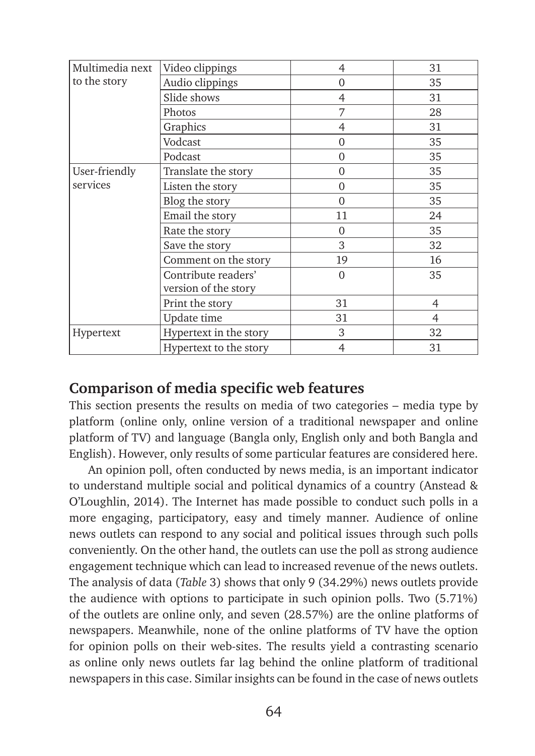| Multimedia next | Video clippings        | 4              | 31 |
|-----------------|------------------------|----------------|----|
| to the story    | Audio clippings        | $\overline{0}$ | 35 |
|                 | Slide shows            | 4              | 31 |
|                 | Photos                 | 7              | 28 |
|                 | Graphics               | 4              | 31 |
|                 | Vodcast                | $\Omega$       | 35 |
|                 | Podcast                | $\Omega$       | 35 |
| User-friendly   | Translate the story    | $\Omega$       | 35 |
| services        | Listen the story       | $\Omega$       | 35 |
|                 | Blog the story         | $\theta$       | 35 |
|                 | Email the story        | 11             | 24 |
|                 | Rate the story         | $\Omega$       | 35 |
|                 | Save the story         | 3              | 32 |
|                 | Comment on the story   | 19             | 16 |
|                 | Contribute readers'    | $\Omega$       | 35 |
|                 | version of the story   |                |    |
|                 | Print the story        | 31             | 4  |
|                 | Update time            | 31             | 4  |
| Hypertext       | Hypertext in the story | 3              | 32 |
|                 | Hypertext to the story | $\overline{4}$ | 31 |

### **Comparison of media specific web features**

This section presents the results on media of two categories – media type by platform (online only, online version of a traditional newspaper and online platform of TV) and language (Bangla only, English only and both Bangla and English). However, only results of some particular features are considered here.

An opinion poll, often conducted by news media, is an important indicator to understand multiple social and political dynamics of a country (Anstead & O'Loughlin, 2014). The Internet has made possible to conduct such polls in a more engaging, participatory, easy and timely manner. Audience of online news outlets can respond to any social and political issues through such polls conveniently. On the other hand, the outlets can use the poll as strong audience engagement technique which can lead to increased revenue of the news outlets. The analysis of data (*Table* 3) shows that only 9 (34.29%) news outlets provide the audience with options to participate in such opinion polls. Two (5.71%) of the outlets are online only, and seven (28.57%) are the online platforms of newspapers. Meanwhile, none of the online platforms of TV have the option for opinion polls on their web-sites. The results yield a contrasting scenario as online only news outlets far lag behind the online platform of traditional newspapers in this case. Similar insights can be found in the case of news outlets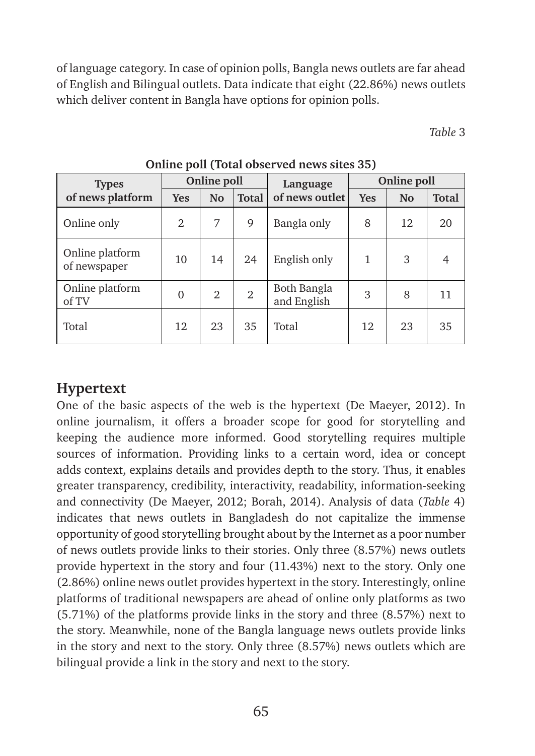of language category. In case of opinion polls, Bangla news outlets are far ahead of English and Bilingual outlets. Data indicate that eight (22.86%) news outlets which deliver content in Bangla have options for opinion polls.

*Table* 3

| <b>Types</b>                    | Online poll |                |                | Language                   | Online poll |                |              |  |
|---------------------------------|-------------|----------------|----------------|----------------------------|-------------|----------------|--------------|--|
| of news platform                | <b>Yes</b>  | N <sub>o</sub> | <b>Total</b>   | of news outlet             | <b>Yes</b>  | N <sub>o</sub> | <b>Total</b> |  |
| Online only                     | 2           | 7              | 9              | Bangla only                | 8           | 12             | 20           |  |
| Online platform<br>of newspaper | 10          | 14             | 24             | English only               | 1           | 3              |              |  |
| Online platform<br>of TV        | $\theta$    | $\mathfrak{D}$ | $\overline{2}$ | Both Bangla<br>and English | 3           | 8              | 11           |  |
| Total                           | 12          | 23             | 35             | Total                      | 12          | 23             | 35           |  |

**Online poll (Total observed news sites 35)**

# **Hypertext**

One of the basic aspects of the web is the hypertext (De Maeyer, 2012). In online journalism, it offers a broader scope for good for storytelling and keeping the audience more informed. Good storytelling requires multiple sources of information. Providing links to a certain word, idea or concept adds context, explains details and provides depth to the story. Thus, it enables greater transparency, credibility, interactivity, readability, information-seeking and connectivity (De Maeyer, 2012; Borah, 2014). Analysis of data (*Table* 4) indicates that news outlets in Bangladesh do not capitalize the immense opportunity of good storytelling brought about by the Internet as a poor number of news outlets provide links to their stories. Only three (8.57%) news outlets provide hypertext in the story and four (11.43%) next to the story. Only one (2.86%) online news outlet provides hypertext in the story. Interestingly, online platforms of traditional newspapers are ahead of online only platforms as two (5.71%) of the platforms provide links in the story and three (8.57%) next to the story. Meanwhile, none of the Bangla language news outlets provide links in the story and next to the story. Only three (8.57%) news outlets which are bilingual provide a link in the story and next to the story.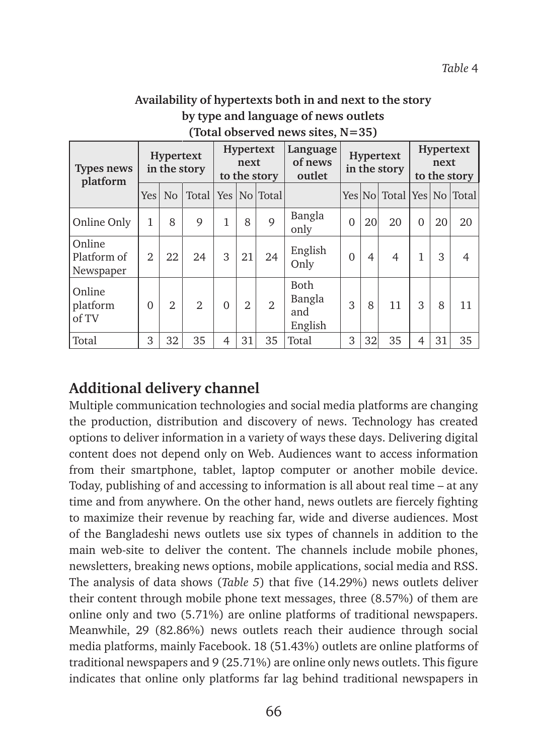### **Availability of hypertexts both in and next to the story by type and language of news outlets (Total observed news sites, N=35)**

| Types news<br>platform             | <b>Hypertext</b><br>in the story |                | <b>Hypertext</b><br>next<br>to the story |              |                | Language<br>of news<br>outlet | Hypertext<br>in the story               |          | <b>Hypertext</b><br>next<br>to the story |                           |              |    |    |
|------------------------------------|----------------------------------|----------------|------------------------------------------|--------------|----------------|-------------------------------|-----------------------------------------|----------|------------------------------------------|---------------------------|--------------|----|----|
|                                    | Yes                              | N <sub>o</sub> |                                          |              |                | Total   Yes   No   Total      |                                         |          |                                          | Yes No Total Yes No Total |              |    |    |
| Online Only                        | 1                                | 8              | 9                                        | $\mathbf{1}$ | 8              | 9                             | Bangla<br>only                          | $\Omega$ | 20                                       | 20                        | $\Omega$     | 20 | 20 |
| Online<br>Platform of<br>Newspaper | 2                                | 22             | 24                                       | 3            | 21             | 24                            | English<br>Only                         | $\Omega$ | 4                                        | $\overline{4}$            | $\mathbf{1}$ | 3  | 4  |
| Online<br>platform<br>of TV        | $\Omega$                         | $\mathfrak{D}$ | $\overline{2}$                           | $\Omega$     | $\overline{2}$ | $\mathfrak{D}$                | <b>Both</b><br>Bangla<br>and<br>English | 3        | 8                                        | 11                        | 3            | 8  | 11 |
| Total                              | 3                                | 32             | 35                                       | 4            | 31             | 35                            | Total                                   | 3        | 32                                       | 35                        | 4            | 31 | 35 |

# **Additional delivery channel**

Multiple communication technologies and social media platforms are changing the production, distribution and discovery of news. Technology has created options to deliver information in a variety of ways these days. Delivering digital content does not depend only on Web. Audiences want to access information from their smartphone, tablet, laptop computer or another mobile device. Today, publishing of and accessing to information is all about real time – at any time and from anywhere. On the other hand, news outlets are fiercely fighting to maximize their revenue by reaching far, wide and diverse audiences. Most of the Bangladeshi news outlets use six types of channels in addition to the main web-site to deliver the content. The channels include mobile phones, newsletters, breaking news options, mobile applications, social media and RSS. The analysis of data shows (*Table 5*) that five (14.29%) news outlets deliver their content through mobile phone text messages, three (8.57%) of them are online only and two (5.71%) are online platforms of traditional newspapers. Meanwhile, 29 (82.86%) news outlets reach their audience through social media platforms, mainly Facebook. 18 (51.43%) outlets are online platforms of traditional newspapers and 9 (25.71%) are online only news outlets. This figure indicates that online only platforms far lag behind traditional newspapers in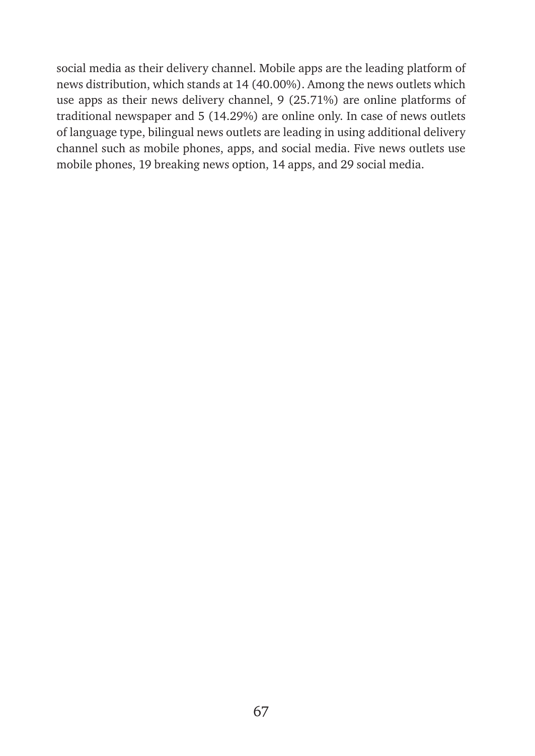social media as their delivery channel. Mobile apps are the leading platform of news distribution, which stands at 14 (40.00%). Among the news outlets which use apps as their news delivery channel, 9 (25.71%) are online platforms of traditional newspaper and 5 (14.29%) are online only. In case of news outlets of language type, bilingual news outlets are leading in using additional delivery channel such as mobile phones, apps, and social media. Five news outlets use mobile phones, 19 breaking news option, 14 apps, and 29 social media.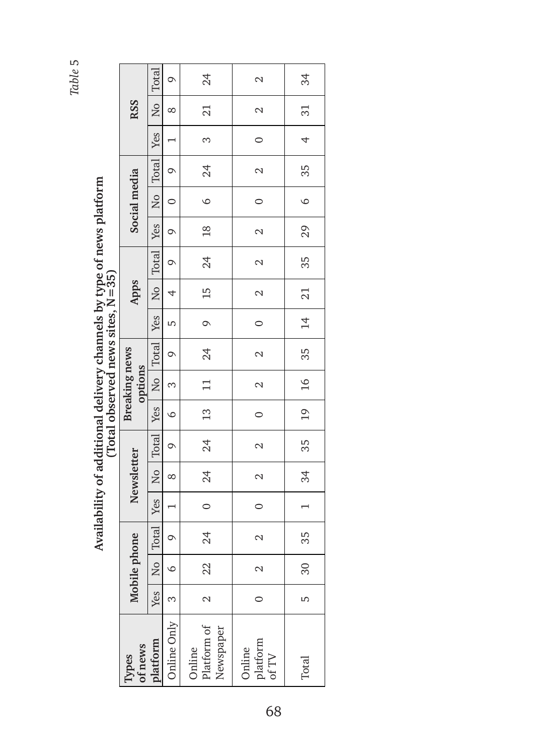| נ<br>נ                                                                    | $= 35$                      |
|---------------------------------------------------------------------------|-----------------------------|
| .<br>.<br>.<br>.                                                          |                             |
|                                                                           | $\frac{1}{1}$               |
| ֖֖֖֖֖֖֖֖֧֪ׅ֖֧֚֚֚֚֚֚֚֚֚֚֚֚֚֚֚֚֚֬֝֝֝֝֝֬֝֓֞֡֞֬֝֓֬֝֓֬֝֬֝֓֬֝֓֬֝֓֬<br>Ji uutit. | (Total abcorved news sites) |
|                                                                           |                             |

|                                 | <b>Total</b><br>24<br>$\circ$ |                                        | $\mathcal{L}$                                        | 34                          |                    |
|---------------------------------|-------------------------------|----------------------------------------|------------------------------------------------------|-----------------------------|--------------------|
| <b>RSS</b>                      | (No)                          | $\infty$                               | 21                                                   | $\mathcal{L}$               | $\overline{31}$    |
|                                 | Yes                           |                                        | $\infty$                                             | $\circ$                     | $\overline{a}$     |
|                                 |                               | $\circ$                                | 24                                                   | $\mathcal{L}$               | $\frac{1}{35}$     |
| Social media                    |                               | $\begin{bmatrix} 1 \\ 0 \end{bmatrix}$ | $\circ$                                              | $\circ$                     | $\overline{6}$     |
|                                 |                               | $\circ$                                | $\begin{array}{c c} \hline 18 \\ \hline \end{array}$ | $\sim$                      | 29                 |
|                                 | No   Total   Yes   No   Total | $\circ$                                | 24                                                   | $\mathcal{L}$               | 35                 |
| Apps                            |                               | $\overline{4}$                         | 15                                                   | $\sim$                      |                    |
|                                 | Yes <sup>1</sup>              | LŊ                                     | $\overline{9}$                                       | $\circ$                     |                    |
|                                 | Yes   No   Total              | $\circ$                                | $\frac{24}{5}$                                       | $\sim$                      | $35$   $14$   $21$ |
| <b>Breaking news</b><br>options |                               | $\infty$                               | $\frac{1}{11}$                                       | $\mathcal{L}$               | 16                 |
|                                 |                               | $\circ$                                |                                                      | $\circ$                     | 19                 |
|                                 | Total <sup>1</sup>            | $\circ$                                | $\frac{1}{24}$                                       | $\sim$                      | 35                 |
| Newsletter                      | $-1$ No $\overline{C}$        | $\infty$                               | $\overline{\phantom{0}24}$                           | $\sim$                      | 34                 |
|                                 | Yes                           |                                        | $\circ$                                              | $\circ$                     |                    |
|                                 | <b>Total</b>                  | $\circ$                                | 24                                                   | $\mathcal{L}$               | 35                 |
| Mobile phone                    | $\frac{1}{2}$                 |                                        | 22                                                   | $\sim$                      | $\overline{30}$    |
|                                 | Yes <sup>I</sup>              | 3<br>S                                 | $\sim$                                               |                             | Б                  |
| Types<br>of news<br>platform    |                               | Online Only                            | Online<br>Platform of<br>Newspaper                   | Online<br>platform<br>of TV | Total              |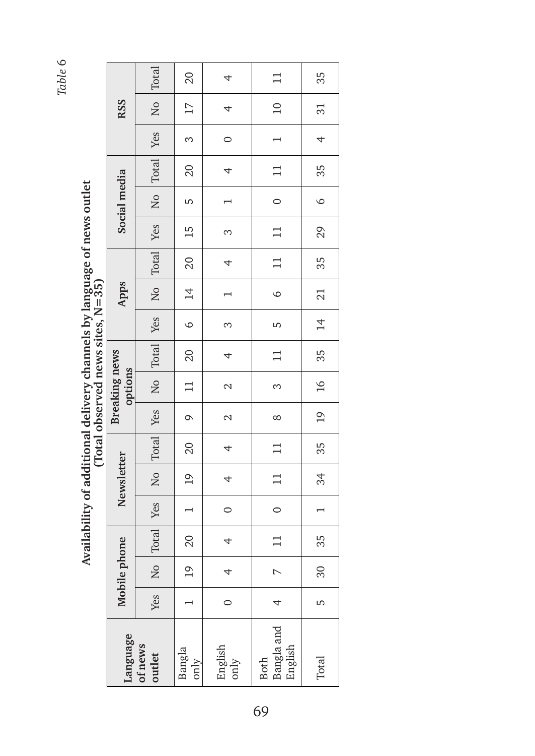Availability of additional delivery channels by language of news outlet<br>(Total observed news sites, N=35) **Availability of additional delivery channels by language of news outlet (Total observed news sites, N=35)**

|                                                                                          |                                 |                               | 20                                    | 4               |                                                                            | 35                                                    |
|------------------------------------------------------------------------------------------|---------------------------------|-------------------------------|---------------------------------------|-----------------|----------------------------------------------------------------------------|-------------------------------------------------------|
|                                                                                          | <b>RSS</b>                      | No Total                      | 17                                    | $\overline{a}$  | $10$   11                                                                  | 31                                                    |
|                                                                                          |                                 |                               | $\infty$                              | $\circ$         | $\overline{a}$                                                             | $\overline{4}$                                        |
|                                                                                          |                                 | No Total Yes                  | 20                                    | $\overline{a}$  | $\boxed{11}$                                                               | 35                                                    |
|                                                                                          | Social media                    |                               | LŊ                                    | $\overline{ }$  | $\overline{\phantom{0}}$                                                   | $\circ$                                               |
|                                                                                          |                                 |                               | $15 \text{ }$                         | $\infty$        | $\begin{array}{c} \n \boxed{11} \n \end{array}$                            | 29                                                    |
|                                                                                          |                                 | No Total Yes                  | $\frac{1}{20}$                        | $\overline{a}$  | $\begin{array}{c} \n \begin{array}{c} \n 11 \n \end{array} \n \end{array}$ | 35                                                    |
| ì                                                                                        | Apps                            |                               | <sup>14</sup>                         |                 | $\circ$                                                                    | $\begin{array}{ c c } \hline 21 & \hline \end{array}$ |
| ֧֧֧֦֧֦֧֦֧֧֧֧֧֧֧֧֧֦֧֦֧֧֝֓֝֬֝֝֬֝֓֝֜֜<br>֧֧֧֧֧֧֧֧֛֧֪֧֛֪֪֦֧֦֧֦֧֦֧֦֧֪֦֧֧֛֪֪֪֪֪֪֪֪֪֦֜֜֜֜֜֜֜֜֝֜ |                                 |                               | $\circ$                               | $\infty$        | LŊ                                                                         | 14                                                    |
|                                                                                          |                                 | No Total Yes                  | 20                                    | 4               | $\frac{1}{2}$                                                              | $\frac{35}{3}$                                        |
|                                                                                          | <b>Breaking news</b><br>options |                               | $\begin{array}{c} \hline \end{array}$ | $\mathcal{L}$   | $\infty$                                                                   | $\begin{array}{c c} \hline 16 \\ \hline \end{array}$  |
|                                                                                          |                                 |                               | $\circ$                               | $\mathcal{L}$   | $\infty$                                                                   | 19                                                    |
|                                                                                          |                                 | No Total Yes                  | 20                                    | 4               |                                                                            | 35                                                    |
|                                                                                          | Newsletter                      |                               | 19                                    | $\overline{a}$  |                                                                            | $\overline{34}$                                       |
|                                                                                          |                                 |                               | $\begin{pmatrix} 1 & 1 \end{pmatrix}$ | $\circ$         | $\begin{matrix} 0 \\ 0 \end{matrix}$                                       | $\overline{\phantom{0}}$                              |
|                                                                                          |                                 | Total Yes                     | 20                                    | 4               | $\frac{1}{11}$                                                             | 35                                                    |
|                                                                                          | Mobile phone                    | $\overline{a}$                | $\overline{0}$                        | 4               | $\sim$                                                                     | 30                                                    |
|                                                                                          |                                 | Yes                           |                                       | 0               | 4                                                                          | 5                                                     |
|                                                                                          |                                 | Language<br>of news<br>outlet | Bangla<br>only                        | English<br>only | Bangla and<br>English<br><b>Both</b>                                       | Total                                                 |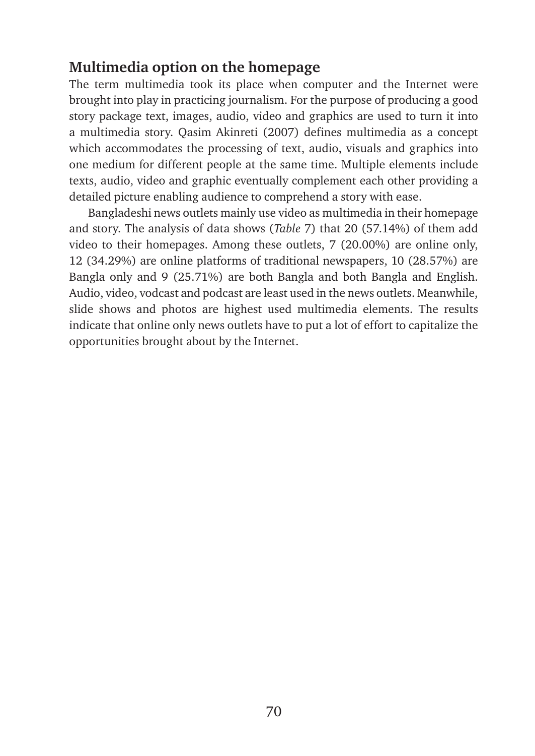# **Multimedia option on the homepage**

The term multimedia took its place when computer and the Internet were brought into play in practicing journalism. For the purpose of producing a good story package text, images, audio, video and graphics are used to turn it into a multimedia story. Qasim Akinreti (2007) defines multimedia as a concept which accommodates the processing of text, audio, visuals and graphics into one medium for different people at the same time. Multiple elements include texts, audio, video and graphic eventually complement each other providing a detailed picture enabling audience to comprehend a story with ease.

Bangladeshi news outlets mainly use video as multimedia in their homepage and story. The analysis of data shows (*Table* 7) that 20 (57.14%) of them add video to their homepages. Among these outlets, 7 (20.00%) are online only, 12 (34.29%) are online platforms of traditional newspapers, 10 (28.57%) are Bangla only and 9 (25.71%) are both Bangla and both Bangla and English. Audio, video, vodcast and podcast are least used in the news outlets. Meanwhile, slide shows and photos are highest used multimedia elements. The results indicate that online only news outlets have to put a lot of effort to capitalize the opportunities brought about by the Internet.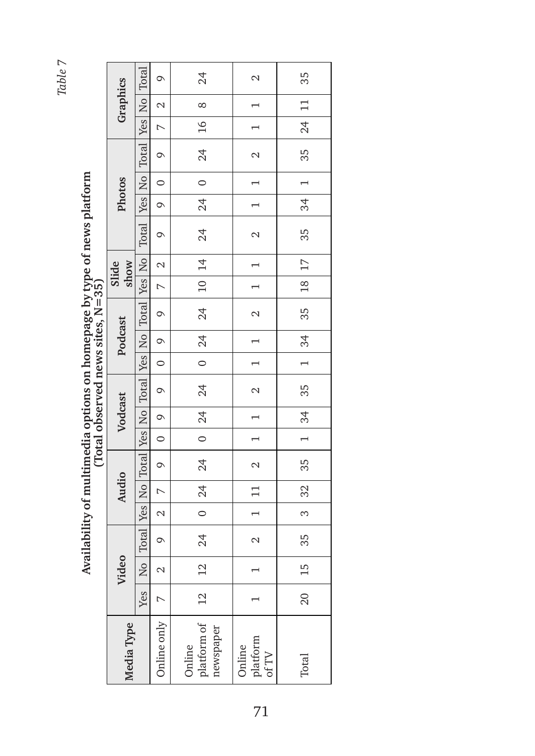Availability of multimedia options on homepage by type of news platform **Availability of multimedia options on homepage by type of news platform** 

|                                  |               |                                                                                                             | $\circ$                  | 24                                                         | $\mathcal{L}$                                  | 35                         |
|----------------------------------|---------------|-------------------------------------------------------------------------------------------------------------|--------------------------|------------------------------------------------------------|------------------------------------------------|----------------------------|
|                                  | Graphics      |                                                                                                             | $\sim$                   | $\infty$                                                   | $\overline{\phantom{0}}$                       | $\boxed{11}$               |
|                                  |               |                                                                                                             | $\overline{a}$           | $\overline{16}$                                            | $\overline{\phantom{0}}$                       | 24                         |
|                                  |               |                                                                                                             | $\circ$                  | $\frac{4}{3}$                                              | $\mathcal{L}$                                  | 35                         |
|                                  |               |                                                                                                             | $\overline{\phantom{0}}$ | $\overline{\phantom{0}}$                                   | $\frac{1}{1}$                                  | $\frac{1}{2}$              |
|                                  | <b>Photos</b> |                                                                                                             | $\overline{\phantom{0}}$ | 24                                                         | $\overline{1}$                                 | $\overline{34}$            |
|                                  |               | Total Yes   No   Total Yes   No   Total Yes   No   Total Yes   No   Total Yes   No   Total Yes   No   Total | $\circ$                  | 24                                                         | $\sim$                                         | 35                         |
|                                  | show<br>Slide |                                                                                                             | $\sim$                   | 10 14                                                      | $\overline{a}$                                 | $\overline{17}$            |
|                                  |               |                                                                                                             | $\overline{z}$           |                                                            | $\overline{a}$                                 | $\overline{18}$            |
|                                  |               |                                                                                                             | $\circ$                  | 24                                                         | $\mathbf{c}$                                   | 35                         |
|                                  | Podcast       |                                                                                                             | $\overline{\circ}$       | 24                                                         | $\overline{a}$                                 | $\overline{\phantom{0}34}$ |
|                                  |               |                                                                                                             | $\overline{\phantom{0}}$ | $\overline{\phantom{0}}$                                   | $\overline{a}$                                 | $\overline{\phantom{0}}$   |
| Total observed news sites, N=35) |               |                                                                                                             | $\circ$                  | 24                                                         | $\overline{a}$                                 | 35                         |
|                                  | Vodcast       |                                                                                                             | $\overline{\phantom{0}}$ | 0  24                                                      | $\overline{a}$                                 | 34                         |
|                                  |               |                                                                                                             | $\overline{0}$           |                                                            | $\overline{a}$                                 | $\overline{a}$             |
|                                  |               |                                                                                                             | $\circ$                  | 24                                                         | $\sim$                                         | 35                         |
|                                  | Audio         |                                                                                                             | $\overline{a}$           | 0  24                                                      | $\boxed{11}$                                   | 32                         |
|                                  |               |                                                                                                             | $\sim$                   |                                                            | $\overline{a}$                                 | $\infty$                   |
|                                  |               |                                                                                                             | $\circ$                  | 24                                                         | $\mathcal{L}$                                  | 35                         |
|                                  | Video         | $\overline{a}$                                                                                              | $\mathcal{L}$            | 12                                                         |                                                | 15                         |
|                                  |               | Yes                                                                                                         | $\overline{a}$           | $\frac{12}{1}$                                             |                                                | $\overline{20}$            |
|                                  | Media Type    |                                                                                                             | Online only              | ${\small \frac{\rm platform~of}{\rm newspaper}}$<br>Online | ${\rm platform} \atop {\rm of\, TV}$<br>Online | Total                      |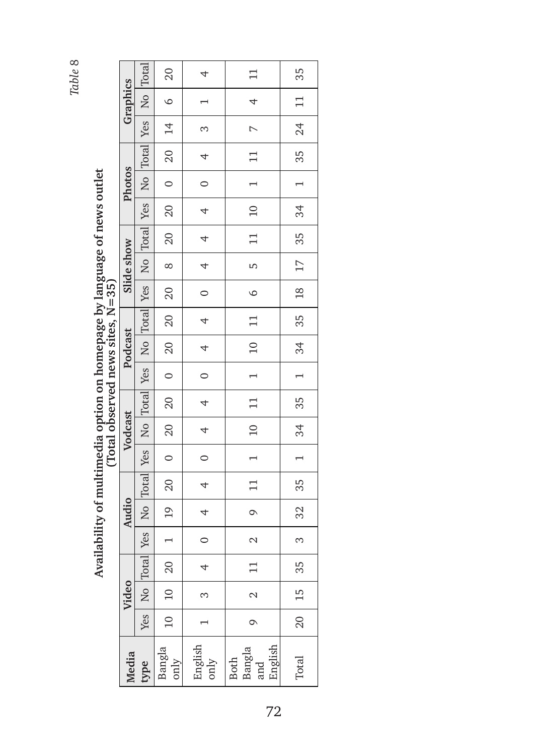| Availability of multimedia option on homepage by language of news outlet |  |
|--------------------------------------------------------------------------|--|
|                                                                          |  |
|                                                                          |  |
|                                                                          |  |
|                                                                          |  |
|                                                                          |  |
|                                                                          |  |
| $(Total observed news sites, N = 35)$                                    |  |
|                                                                          |  |
|                                                                          |  |
|                                                                          |  |
|                                                                          |  |
|                                                                          |  |
|                                                                          |  |
|                                                                          |  |
|                                                                          |  |
|                                                                          |  |
|                                                                          |  |
|                                                                          |  |
|                                                                          |  |
|                                                                          |  |
|                                                                          |  |
|                                                                          |  |
|                                                                          |  |

|                                                                   | こっ<br>ון<br>הט                     |
|-------------------------------------------------------------------|------------------------------------|
|                                                                   |                                    |
| ity of multimedia ontion on homepage by language of news $\prime$ | くうもく                               |
|                                                                   |                                    |
|                                                                   | tal observed news<br><b>Nonner</b> |
|                                                                   |                                    |
|                                                                   |                                    |
|                                                                   |                                    |
|                                                                   |                                    |

|            | Yes   No  Total  Yes   No  Total  Yes   No  Total  Yes   No   No   Total  Yes   No   Total | 20                                                              | $\overline{a}$                                              | $\frac{1}{\sqrt{2}}$                                                    | 1   35   24   11   35                                                           |
|------------|--------------------------------------------------------------------------------------------|-----------------------------------------------------------------|-------------------------------------------------------------|-------------------------------------------------------------------------|---------------------------------------------------------------------------------|
| Graphics   |                                                                                            | $\overline{6}$                                                  | $\frac{1}{1}$                                               |                                                                         |                                                                                 |
|            |                                                                                            |                                                                 | $\frac{1}{2}$                                               |                                                                         |                                                                                 |
|            |                                                                                            | 20   20   0   20   14                                           | $\begin{array}{c c c c} \hline 0 & 4 \\ \hline \end{array}$ |                                                                         |                                                                                 |
| Photos     |                                                                                            |                                                                 |                                                             |                                                                         |                                                                                 |
|            |                                                                                            |                                                                 |                                                             |                                                                         |                                                                                 |
|            |                                                                                            |                                                                 |                                                             | $9   11   1   10   11   1   10   11   6   5   11   10   1   11   7   4$ | $1 \mid 34 \mid 35 \mid 1 \mid 34 \mid 35 \mid 18 \mid 17 \mid 35 \mid 34 \mid$ |
| Slide show |                                                                                            | $\infty$                                                        |                                                             |                                                                         |                                                                                 |
|            |                                                                                            |                                                                 |                                                             |                                                                         |                                                                                 |
|            |                                                                                            | 20 20                                                           |                                                             |                                                                         |                                                                                 |
| Podcast    |                                                                                            |                                                                 |                                                             |                                                                         |                                                                                 |
|            |                                                                                            | $\begin{array}{ c c c c c } \hline 0 & 20 \ \hline \end{array}$ |                                                             |                                                                         |                                                                                 |
|            |                                                                                            | 20                                                              |                                                             |                                                                         |                                                                                 |
| Vodcast    |                                                                                            | $\boxed{20}$                                                    |                                                             |                                                                         |                                                                                 |
|            |                                                                                            | $\overline{\phantom{0}}$                                        |                                                             |                                                                         |                                                                                 |
|            |                                                                                            | 1   19   20                                                     |                                                             |                                                                         | $32   35$                                                                       |
| Audio      |                                                                                            |                                                                 |                                                             |                                                                         |                                                                                 |
|            |                                                                                            |                                                                 |                                                             | $\overline{\Omega}$                                                     | $\infty$                                                                        |
|            | Yes   No   Total                                                                           |                                                                 |                                                             |                                                                         | 35                                                                              |
| Video      |                                                                                            | 10   20                                                         | $\infty$                                                    | $\sim$                                                                  | $\begin{array}{c} 15 \end{array}$                                               |
|            |                                                                                            | 10                                                              |                                                             | $\circ$                                                                 | $\frac{1}{20}$                                                                  |
| Media      | type                                                                                       | Bangla<br>only                                                  | English<br>only                                             | English<br>Both<br>Bangla<br>and                                        | Total                                                                           |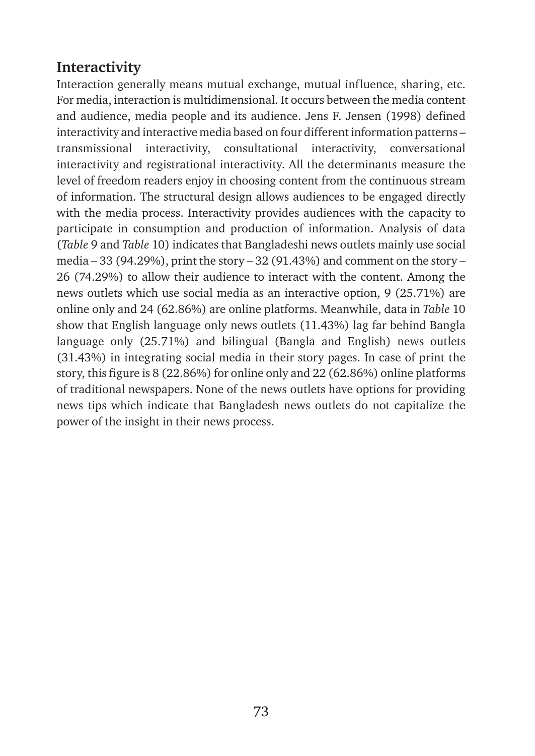# **Interactivity**

Interaction generally means mutual exchange, mutual influence, sharing, etc. For media, interaction is multidimensional. It occurs between the media content and audience, media people and its audience. Jens F. Jensen (1998) defined interactivity and interactive media based on four different information patterns – transmissional interactivity, consultational interactivity, conversational interactivity and registrational interactivity. All the determinants measure the level of freedom readers enjoy in choosing content from the continuous stream of information. The structural design allows audiences to be engaged directly with the media process. Interactivity provides audiences with the capacity to participate in consumption and production of information. Analysis of data (*Table* 9 and *Table* 10) indicates that Bangladeshi news outlets mainly use social media – 33 (94.29%), print the story – 32 (91.43%) and comment on the story – 26 (74.29%) to allow their audience to interact with the content. Among the news outlets which use social media as an interactive option, 9 (25.71%) are online only and 24 (62.86%) are online platforms. Meanwhile, data in *Table* 10 show that English language only news outlets (11.43%) lag far behind Bangla language only (25.71%) and bilingual (Bangla and English) news outlets (31.43%) in integrating social media in their story pages. In case of print the story, this figure is 8 (22.86%) for online only and 22 (62.86%) online platforms of traditional newspapers. None of the news outlets have options for providing news tips which indicate that Bangladesh news outlets do not capitalize the power of the insight in their news process.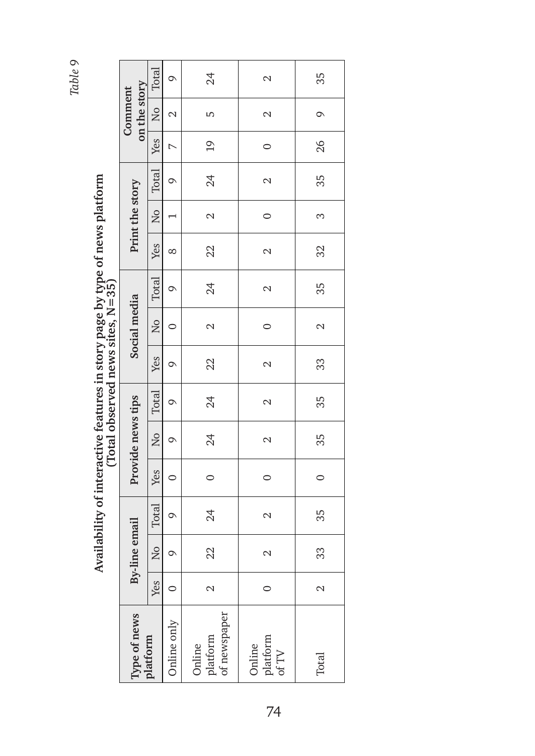|                                                |               |               | י<br>י        |         |                   | $(Total observed news sites, N=35)$ |               |                         |                   | ve en ville persone en e |                 |                   |                |                         |                 |
|------------------------------------------------|---------------|---------------|---------------|---------|-------------------|-------------------------------------|---------------|-------------------------|-------------------|--------------------------|-----------------|-------------------|----------------|-------------------------|-----------------|
| Type of news                                   |               | By-line email |               |         | Provide news tips |                                     |               | Social media            |                   |                          | Print the story |                   |                | on the story<br>Comment |                 |
| datform                                        | Yes           | k<br>Ro       | Total         | Yes     | $\frac{1}{2}$     | Total                               | Yes           | $\overline{\mathsf{N}}$ | Total             | Yes                      | $\frac{1}{2}$   | Total             | Yes            | $\overline{N}$          | Total           |
| Inline only                                    |               | $\circ$       | $\circ$       | 0       | Q                 | $\circ$                             | Q             |                         | $\circ$           | ∞                        |                 | $\circ$           | $\overline{ }$ | $\mathcal{L}$           | $\circ$         |
| of newspaper<br>platform<br>Online             | $\mathcal{C}$ | 22            | 24            | $\circ$ | 24                | 24                                  | 22            | 2                       | 24                | 22                       | 2               | 24                | $\overline{0}$ | S                       | 24              |
| ${\rm platform} \atop {\rm of\, TV}$<br>Online | $\circ$       | $\mathcal{L}$ | $\mathcal{L}$ | $\circ$ | $\mathcal{L}$     | $\mathcal{L}$                       | $\mathcal{L}$ | $\circ$                 | $\mathbf{\Omega}$ | $\mathcal{L}$            | $\circ$         | $\mathbf{\Omega}$ | $\circ$        | $\mathbf{\Omega}$       | $\mathbf{\sim}$ |
| Total                                          | 2             | 33            | 35            | $\circ$ | 35                | 35                                  | 33            | $\mathbf{\Omega}$       | 35                | 32                       | S               | 35                | 26             | $\circ$                 | 35              |

# Availability of interactive features in story page by type of news platform **Availability of interactive features in story page by type of news platform**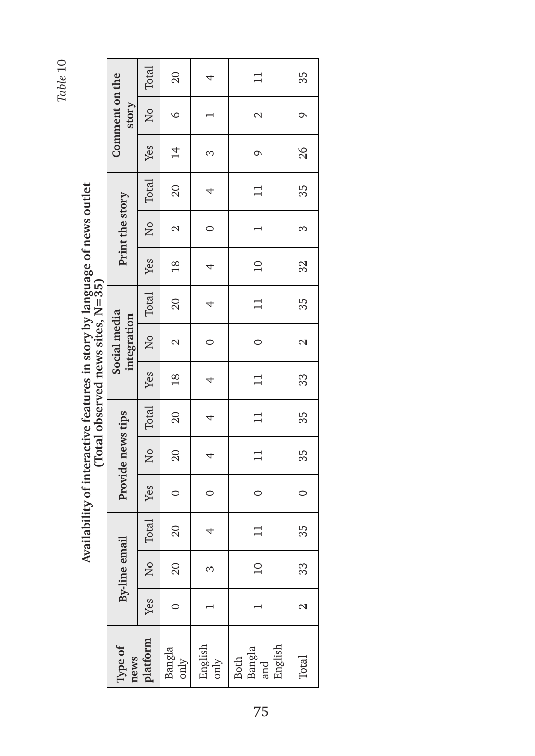Total Yes No Total Yes No Total Yes No Total Yes No Total Yes No Total 20 35  $\overline{11}$ Comment on the **By-line email Provide news tips Social media integration Print the story Comment on the story** only 0 20 20 0 20 20 18 2 20 18 2 20 14 6 20  $\overline{4}$  10 11 0 11 11 11 0 11 10 1 11 9 2 11 Total 2 33 35 0 35 35 33 2 35 32 3 35 26 9 35only 1 3 4 0 4 4 4 0 4 4 0 4 3 1 4 story  $\overline{N}$  $\circ$  $\overline{\phantom{0}}$  $\mathbf{\Omega}$  $\circ$ Yes  $14$ 26  $\infty$  $\circ$ Total 35 20  $\Box$  $\overline{\phantom{a}}$ Print the story  $\overline{M}$  $\mathbf{\Omega}$  $\circ$  $\overline{ }$  $\infty$ Yes 32  $10$  $18$  $\overline{4}$ **(Total observed news sites, N=35)** Total 20  $\Box$ 35  $\overline{4}$ Social media integration No  $\circ$  $\mathbf{\Omega}$  $\circ$  $\mathbf{\sim}$ Yes  $\overline{18}$  $\Box$ 33  $\overline{4}$ Total Provide news tips  $20$ 35  $\Box$  $\overline{4}$  $\overline{N}$  $20$  $11$ 35  $\overline{4}$ Yes  $\circ$  $\circ$  $\circ$  $\circ$ Total 35  $20$  $\Box$ 4 **By-line email**  $\overline{N}$ 20  $10$ 33  $\infty$ Yes  $\circ$  $\overline{\phantom{0}}$  $\overline{1}$  $\mathbf{\Omega}$ **platform** English English Bangla **Type of**  Bangla and **news**  only Both Total only

Availability of interactive features in story by language of news outlet<br>(Total observed news sites,  $N=35$ ) **Availability of interactive features in story by language of news outlet**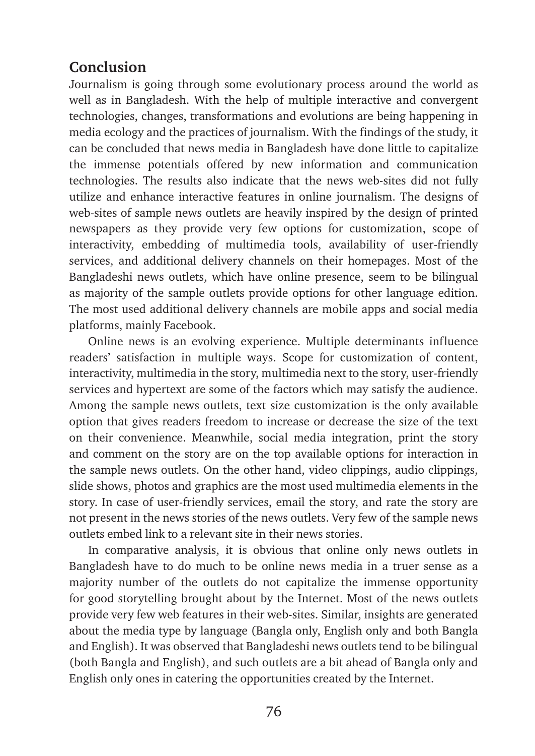# **Conclusion**

Journalism is going through some evolutionary process around the world as well as in Bangladesh. With the help of multiple interactive and convergent technologies, changes, transformations and evolutions are being happening in media ecology and the practices of journalism. With the findings of the study, it can be concluded that news media in Bangladesh have done little to capitalize the immense potentials offered by new information and communication technologies. The results also indicate that the news web-sites did not fully utilize and enhance interactive features in online journalism. The designs of web-sites of sample news outlets are heavily inspired by the design of printed newspapers as they provide very few options for customization, scope of interactivity, embedding of multimedia tools, availability of user-friendly services, and additional delivery channels on their homepages. Most of the Bangladeshi news outlets, which have online presence, seem to be bilingual as majority of the sample outlets provide options for other language edition. The most used additional delivery channels are mobile apps and social media platforms, mainly Facebook.

Online news is an evolving experience. Multiple determinants influence readers' satisfaction in multiple ways. Scope for customization of content, interactivity, multimedia in the story, multimedia next to the story, user-friendly services and hypertext are some of the factors which may satisfy the audience. Among the sample news outlets, text size customization is the only available option that gives readers freedom to increase or decrease the size of the text on their convenience. Meanwhile, social media integration, print the story and comment on the story are on the top available options for interaction in the sample news outlets. On the other hand, video clippings, audio clippings, slide shows, photos and graphics are the most used multimedia elements in the story. In case of user-friendly services, email the story, and rate the story are not present in the news stories of the news outlets. Very few of the sample news outlets embed link to a relevant site in their news stories.

In comparative analysis, it is obvious that online only news outlets in Bangladesh have to do much to be online news media in a truer sense as a majority number of the outlets do not capitalize the immense opportunity for good storytelling brought about by the Internet. Most of the news outlets provide very few web features in their web-sites. Similar, insights are generated about the media type by language (Bangla only, English only and both Bangla and English). It was observed that Bangladeshi news outlets tend to be bilingual (both Bangla and English), and such outlets are a bit ahead of Bangla only and English only ones in catering the opportunities created by the Internet.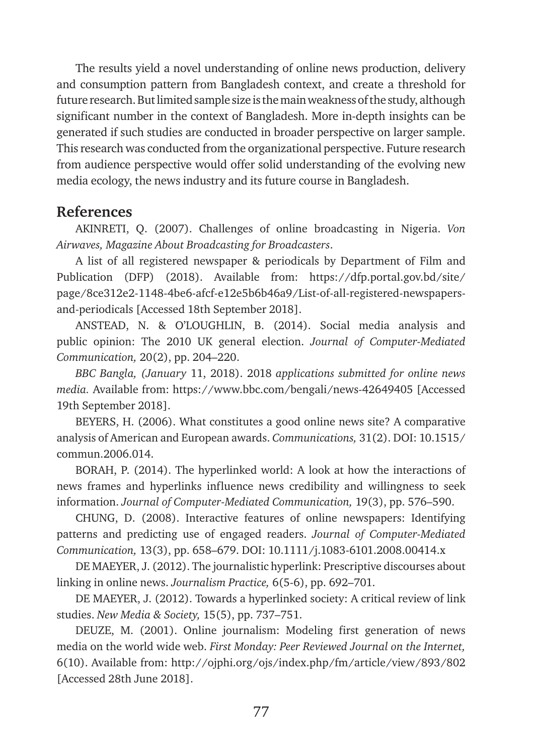The results yield a novel understanding of online news production, delivery and consumption pattern from Bangladesh context, and create a threshold for future research. But limited sample size is the main weakness of the study, although significant number in the context of Bangladesh. More in-depth insights can be generated if such studies are conducted in broader perspective on larger sample. This research was conducted from the organizational perspective. Future research from audience perspective would offer solid understanding of the evolving new media ecology, the news industry and its future course in Bangladesh.

### **References**

AKINRETI, Q. (2007). Challenges of online broadcasting in Nigeria. *Von Airwaves, Magazine About Broadcasting for Broadcasters*.

A list of all registered newspaper & periodicals by Department of Film and Publication (DFP) (2018). Available from: [https://dfp.portal.gov.bd/site/](https://dfp.portal.gov.bd/site/page/8ce312e2-1148-4be6-afcf-e12e5b6b46a9/List-of-all-registered-newspapers-and-periodicals) [page/8ce312e2-1148-4be6-afcf-e12e5b6b46a9/List-of-all-registered-newspapers](https://dfp.portal.gov.bd/site/page/8ce312e2-1148-4be6-afcf-e12e5b6b46a9/List-of-all-registered-newspapers-and-periodicals)[and-periodicals](https://dfp.portal.gov.bd/site/page/8ce312e2-1148-4be6-afcf-e12e5b6b46a9/List-of-all-registered-newspapers-and-periodicals) [Accessed 18th September 2018].

ANSTEAD, N. & O'LOUGHLIN, B. (2014). Social media analysis and public opinion: The 2010 UK general election. *Journal of Computer-Mediated Communication,* 20(2), pp. 204–220.

*BBC Bangla, (January* 11, 2018). 2018 *applications submitted for online news media.* Available from: <https://www.bbc.com/bengali/news-42649405> [Accessed 19th September 2018].

BEYERS, H. (2006). What constitutes a good online news site? A comparative analysis of American and European awards. *Communications,* 31(2). DOI: 10.1515/ commun.2006.014.

BORAH, P. (2014). The hyperlinked world: A look at how the interactions of news frames and hyperlinks influence news credibility and willingness to seek information. *Journal of Computer-Mediated Communication,* 19(3), pp. 576–590.

CHUNG, D. (2008). Interactive features of online newspapers: Identifying patterns and predicting use of engaged readers. *Journal of Computer-Mediated Communication,* 13(3), pp. 658–679. DOI: 10.1111/j.1083-6101.2008.00414.x

DE MAEYER, J. (2012). The journalistic hyperlink: Prescriptive discourses about linking in online news. *Journalism Practice,* 6(5-6), pp. 692–701.

DE MAEYER, J. (2012). Towards a hyperlinked society: A critical review of link studies. *New Media & Society,* 15(5), pp. 737–751.

DEUZE, M. (2001). Online journalism: Modeling first generation of news media on the world wide web. *First Monday: Peer Reviewed Journal on the Internet,*  6(10). Available from: <http://ojphi.org/ojs/index.php/fm/article/view/893/802> [Accessed 28th June 2018].